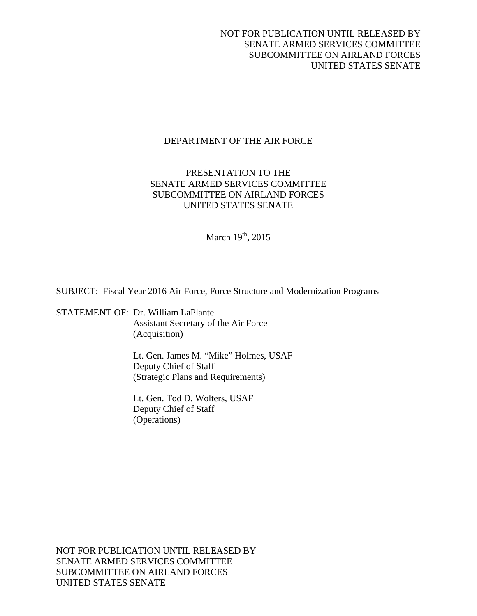# NOT FOR PUBLICATION UNTIL RELEASED BY SENATE ARMED SERVICES COMMITTEE SUBCOMMITTEE ON AIRLAND FORCES UNITED STATES SENATE

# DEPARTMENT OF THE AIR FORCE

# PRESENTATION TO THE SENATE ARMED SERVICES COMMITTEE SUBCOMMITTEE ON AIRLAND FORCES UNITED STATES SENATE

March  $19<sup>th</sup>$ , 2015

SUBJECT: Fiscal Year 2016 Air Force, Force Structure and Modernization Programs

STATEMENT OF: Dr. William LaPlante Assistant Secretary of the Air Force (Acquisition)

> Lt. Gen. James M. "Mike" Holmes, USAF Deputy Chief of Staff (Strategic Plans and Requirements)

 Lt. Gen. Tod D. Wolters, USAF Deputy Chief of Staff (Operations)

NOT FOR PUBLICATION UNTIL RELEASED BY SENATE ARMED SERVICES COMMITTEE SUBCOMMITTEE ON AIRLAND FORCES UNITED STATES SENATE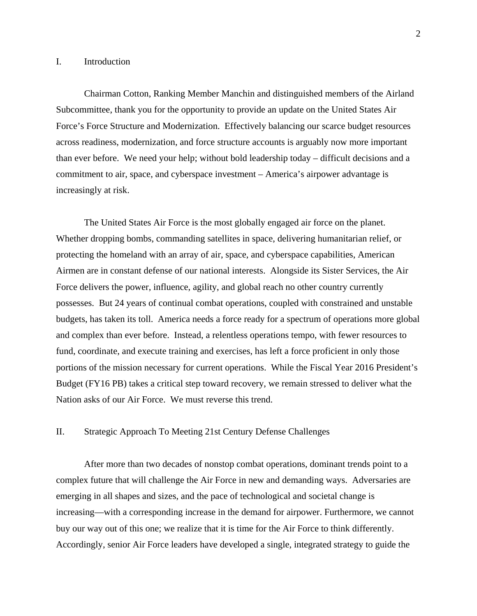# I. Introduction

Chairman Cotton, Ranking Member Manchin and distinguished members of the Airland Subcommittee, thank you for the opportunity to provide an update on the United States Air Force's Force Structure and Modernization. Effectively balancing our scarce budget resources across readiness, modernization, and force structure accounts is arguably now more important than ever before. We need your help; without bold leadership today – difficult decisions and a commitment to air, space, and cyberspace investment – America's airpower advantage is increasingly at risk.

The United States Air Force is the most globally engaged air force on the planet. Whether dropping bombs, commanding satellites in space, delivering humanitarian relief, or protecting the homeland with an array of air, space, and cyberspace capabilities, American Airmen are in constant defense of our national interests. Alongside its Sister Services, the Air Force delivers the power, influence, agility, and global reach no other country currently possesses. But 24 years of continual combat operations, coupled with constrained and unstable budgets, has taken its toll. America needs a force ready for a spectrum of operations more global and complex than ever before. Instead, a relentless operations tempo, with fewer resources to fund, coordinate, and execute training and exercises, has left a force proficient in only those portions of the mission necessary for current operations. While the Fiscal Year 2016 President's Budget (FY16 PB) takes a critical step toward recovery, we remain stressed to deliver what the Nation asks of our Air Force. We must reverse this trend.

# II. Strategic Approach To Meeting 21st Century Defense Challenges

After more than two decades of nonstop combat operations, dominant trends point to a complex future that will challenge the Air Force in new and demanding ways. Adversaries are emerging in all shapes and sizes, and the pace of technological and societal change is increasing—with a corresponding increase in the demand for airpower. Furthermore, we cannot buy our way out of this one; we realize that it is time for the Air Force to think differently. Accordingly, senior Air Force leaders have developed a single, integrated strategy to guide the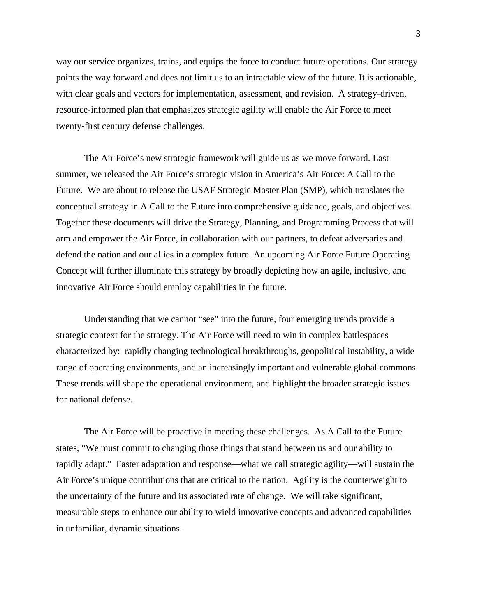way our service organizes, trains, and equips the force to conduct future operations. Our strategy points the way forward and does not limit us to an intractable view of the future. It is actionable, with clear goals and vectors for implementation, assessment, and revision. A strategy-driven, resource-informed plan that emphasizes strategic agility will enable the Air Force to meet twenty-first century defense challenges.

The Air Force's new strategic framework will guide us as we move forward. Last summer, we released the Air Force's strategic vision in America's Air Force: A Call to the Future. We are about to release the USAF Strategic Master Plan (SMP), which translates the conceptual strategy in A Call to the Future into comprehensive guidance, goals, and objectives. Together these documents will drive the Strategy, Planning, and Programming Process that will arm and empower the Air Force, in collaboration with our partners, to defeat adversaries and defend the nation and our allies in a complex future. An upcoming Air Force Future Operating Concept will further illuminate this strategy by broadly depicting how an agile, inclusive, and innovative Air Force should employ capabilities in the future.

Understanding that we cannot "see" into the future, four emerging trends provide a strategic context for the strategy. The Air Force will need to win in complex battlespaces characterized by: rapidly changing technological breakthroughs, geopolitical instability, a wide range of operating environments, and an increasingly important and vulnerable global commons. These trends will shape the operational environment, and highlight the broader strategic issues for national defense.

The Air Force will be proactive in meeting these challenges. As A Call to the Future states, "We must commit to changing those things that stand between us and our ability to rapidly adapt." Faster adaptation and response—what we call strategic agility—will sustain the Air Force's unique contributions that are critical to the nation. Agility is the counterweight to the uncertainty of the future and its associated rate of change. We will take significant, measurable steps to enhance our ability to wield innovative concepts and advanced capabilities in unfamiliar, dynamic situations.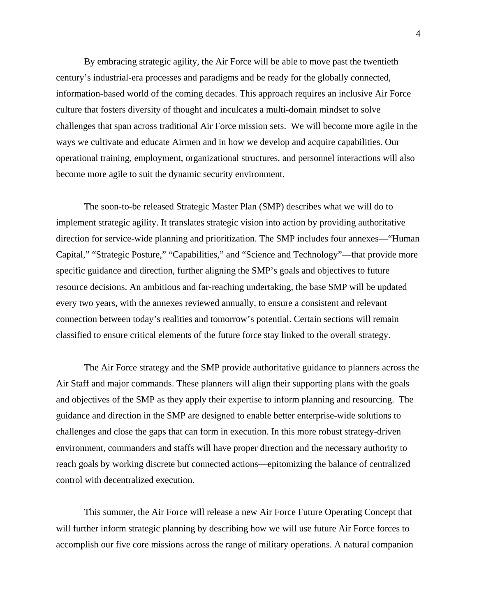By embracing strategic agility, the Air Force will be able to move past the twentieth century's industrial-era processes and paradigms and be ready for the globally connected, information-based world of the coming decades. This approach requires an inclusive Air Force culture that fosters diversity of thought and inculcates a multi-domain mindset to solve challenges that span across traditional Air Force mission sets. We will become more agile in the ways we cultivate and educate Airmen and in how we develop and acquire capabilities. Our operational training, employment, organizational structures, and personnel interactions will also become more agile to suit the dynamic security environment.

The soon-to-be released Strategic Master Plan (SMP) describes what we will do to implement strategic agility. It translates strategic vision into action by providing authoritative direction for service-wide planning and prioritization. The SMP includes four annexes—"Human Capital," "Strategic Posture," "Capabilities," and "Science and Technology"—that provide more specific guidance and direction, further aligning the SMP's goals and objectives to future resource decisions. An ambitious and far-reaching undertaking, the base SMP will be updated every two years, with the annexes reviewed annually, to ensure a consistent and relevant connection between today's realities and tomorrow's potential. Certain sections will remain classified to ensure critical elements of the future force stay linked to the overall strategy.

The Air Force strategy and the SMP provide authoritative guidance to planners across the Air Staff and major commands. These planners will align their supporting plans with the goals and objectives of the SMP as they apply their expertise to inform planning and resourcing. The guidance and direction in the SMP are designed to enable better enterprise-wide solutions to challenges and close the gaps that can form in execution. In this more robust strategy-driven environment, commanders and staffs will have proper direction and the necessary authority to reach goals by working discrete but connected actions—epitomizing the balance of centralized control with decentralized execution.

This summer, the Air Force will release a new Air Force Future Operating Concept that will further inform strategic planning by describing how we will use future Air Force forces to accomplish our five core missions across the range of military operations. A natural companion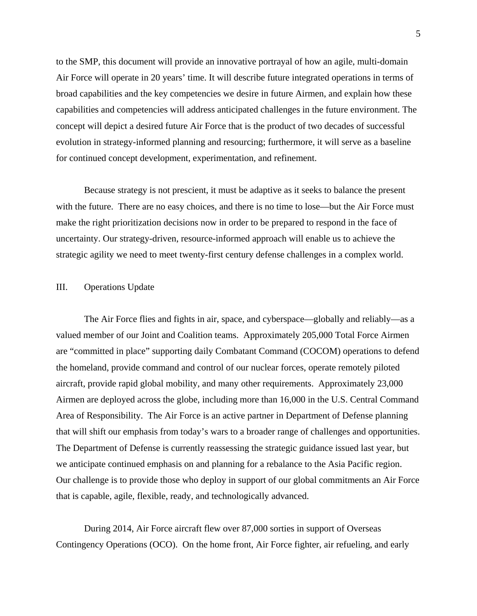to the SMP, this document will provide an innovative portrayal of how an agile, multi-domain Air Force will operate in 20 years' time. It will describe future integrated operations in terms of broad capabilities and the key competencies we desire in future Airmen, and explain how these capabilities and competencies will address anticipated challenges in the future environment. The concept will depict a desired future Air Force that is the product of two decades of successful evolution in strategy-informed planning and resourcing; furthermore, it will serve as a baseline for continued concept development, experimentation, and refinement.

Because strategy is not prescient, it must be adaptive as it seeks to balance the present with the future. There are no easy choices, and there is no time to lose—but the Air Force must make the right prioritization decisions now in order to be prepared to respond in the face of uncertainty. Our strategy-driven, resource-informed approach will enable us to achieve the strategic agility we need to meet twenty-first century defense challenges in a complex world.

# III. Operations Update

The Air Force flies and fights in air, space, and cyberspace—globally and reliably—as a valued member of our Joint and Coalition teams. Approximately 205,000 Total Force Airmen are "committed in place" supporting daily Combatant Command (COCOM) operations to defend the homeland, provide command and control of our nuclear forces, operate remotely piloted aircraft, provide rapid global mobility, and many other requirements. Approximately 23,000 Airmen are deployed across the globe, including more than 16,000 in the U.S. Central Command Area of Responsibility. The Air Force is an active partner in Department of Defense planning that will shift our emphasis from today's wars to a broader range of challenges and opportunities. The Department of Defense is currently reassessing the strategic guidance issued last year, but we anticipate continued emphasis on and planning for a rebalance to the Asia Pacific region. Our challenge is to provide those who deploy in support of our global commitments an Air Force that is capable, agile, flexible, ready, and technologically advanced.

During 2014, Air Force aircraft flew over 87,000 sorties in support of Overseas Contingency Operations (OCO). On the home front, Air Force fighter, air refueling, and early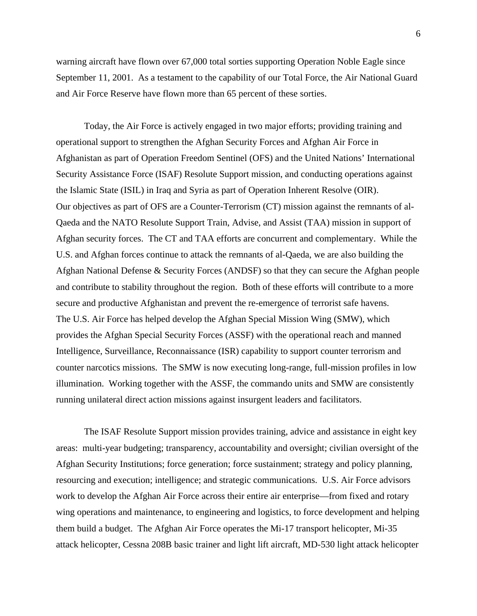warning aircraft have flown over 67,000 total sorties supporting Operation Noble Eagle since September 11, 2001. As a testament to the capability of our Total Force, the Air National Guard and Air Force Reserve have flown more than 65 percent of these sorties.

Today, the Air Force is actively engaged in two major efforts; providing training and operational support to strengthen the Afghan Security Forces and Afghan Air Force in Afghanistan as part of Operation Freedom Sentinel (OFS) and the United Nations' International Security Assistance Force (ISAF) Resolute Support mission, and conducting operations against the Islamic State (ISIL) in Iraq and Syria as part of Operation Inherent Resolve (OIR). Our objectives as part of OFS are a Counter-Terrorism (CT) mission against the remnants of al-Qaeda and the NATO Resolute Support Train, Advise, and Assist (TAA) mission in support of Afghan security forces. The CT and TAA efforts are concurrent and complementary. While the U.S. and Afghan forces continue to attack the remnants of al-Qaeda, we are also building the Afghan National Defense & Security Forces (ANDSF) so that they can secure the Afghan people and contribute to stability throughout the region. Both of these efforts will contribute to a more secure and productive Afghanistan and prevent the re-emergence of terrorist safe havens. The U.S. Air Force has helped develop the Afghan Special Mission Wing (SMW), which provides the Afghan Special Security Forces (ASSF) with the operational reach and manned Intelligence, Surveillance, Reconnaissance (ISR) capability to support counter terrorism and counter narcotics missions. The SMW is now executing long-range, full-mission profiles in low illumination. Working together with the ASSF, the commando units and SMW are consistently running unilateral direct action missions against insurgent leaders and facilitators.

The ISAF Resolute Support mission provides training, advice and assistance in eight key areas: multi-year budgeting; transparency, accountability and oversight; civilian oversight of the Afghan Security Institutions; force generation; force sustainment; strategy and policy planning, resourcing and execution; intelligence; and strategic communications. U.S. Air Force advisors work to develop the Afghan Air Force across their entire air enterprise—from fixed and rotary wing operations and maintenance, to engineering and logistics, to force development and helping them build a budget. The Afghan Air Force operates the Mi-17 transport helicopter, Mi-35 attack helicopter, Cessna 208B basic trainer and light lift aircraft, MD-530 light attack helicopter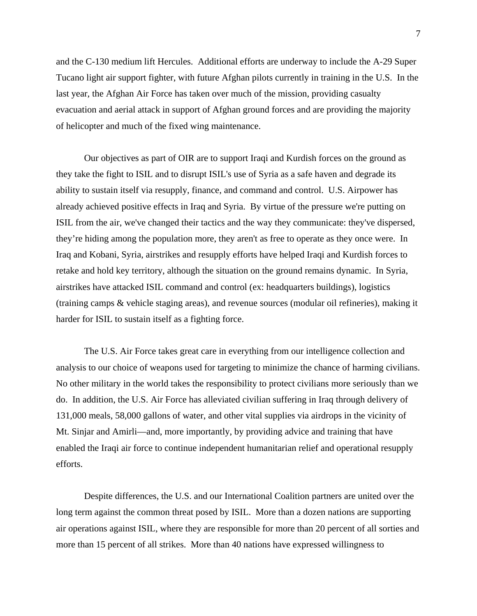and the C-130 medium lift Hercules. Additional efforts are underway to include the A-29 Super Tucano light air support fighter, with future Afghan pilots currently in training in the U.S. In the last year, the Afghan Air Force has taken over much of the mission, providing casualty evacuation and aerial attack in support of Afghan ground forces and are providing the majority of helicopter and much of the fixed wing maintenance.

Our objectives as part of OIR are to support Iraqi and Kurdish forces on the ground as they take the fight to ISIL and to disrupt ISIL's use of Syria as a safe haven and degrade its ability to sustain itself via resupply, finance, and command and control. U.S. Airpower has already achieved positive effects in Iraq and Syria. By virtue of the pressure we're putting on ISIL from the air, we've changed their tactics and the way they communicate: they've dispersed, they're hiding among the population more, they aren't as free to operate as they once were. In Iraq and Kobani, Syria, airstrikes and resupply efforts have helped Iraqi and Kurdish forces to retake and hold key territory, although the situation on the ground remains dynamic. In Syria, airstrikes have attacked ISIL command and control (ex: headquarters buildings), logistics (training camps & vehicle staging areas), and revenue sources (modular oil refineries), making it harder for ISIL to sustain itself as a fighting force.

The U.S. Air Force takes great care in everything from our intelligence collection and analysis to our choice of weapons used for targeting to minimize the chance of harming civilians. No other military in the world takes the responsibility to protect civilians more seriously than we do. In addition, the U.S. Air Force has alleviated civilian suffering in Iraq through delivery of 131,000 meals, 58,000 gallons of water, and other vital supplies via airdrops in the vicinity of Mt. Sinjar and Amirli—and, more importantly, by providing advice and training that have enabled the Iraqi air force to continue independent humanitarian relief and operational resupply efforts.

Despite differences, the U.S. and our International Coalition partners are united over the long term against the common threat posed by ISIL. More than a dozen nations are supporting air operations against ISIL, where they are responsible for more than 20 percent of all sorties and more than 15 percent of all strikes. More than 40 nations have expressed willingness to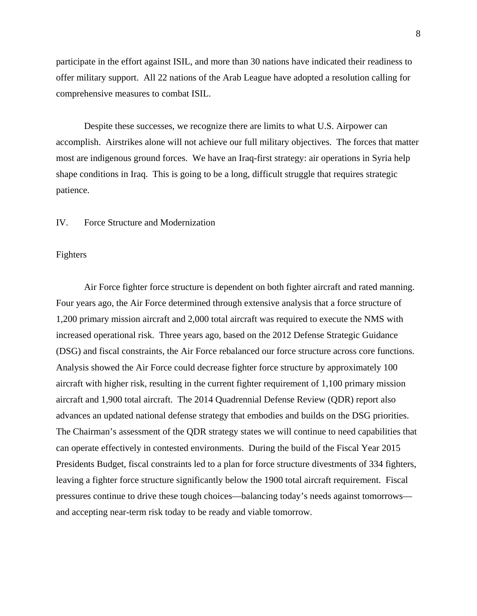participate in the effort against ISIL, and more than 30 nations have indicated their readiness to offer military support. All 22 nations of the Arab League have adopted a resolution calling for comprehensive measures to combat ISIL.

Despite these successes, we recognize there are limits to what U.S. Airpower can accomplish. Airstrikes alone will not achieve our full military objectives. The forces that matter most are indigenous ground forces. We have an Iraq-first strategy: air operations in Syria help shape conditions in Iraq. This is going to be a long, difficult struggle that requires strategic patience.

# IV. Force Structure and Modernization

#### Fighters

Air Force fighter force structure is dependent on both fighter aircraft and rated manning. Four years ago, the Air Force determined through extensive analysis that a force structure of 1,200 primary mission aircraft and 2,000 total aircraft was required to execute the NMS with increased operational risk. Three years ago, based on the 2012 Defense Strategic Guidance (DSG) and fiscal constraints, the Air Force rebalanced our force structure across core functions. Analysis showed the Air Force could decrease fighter force structure by approximately 100 aircraft with higher risk, resulting in the current fighter requirement of 1,100 primary mission aircraft and 1,900 total aircraft. The 2014 Quadrennial Defense Review (QDR) report also advances an updated national defense strategy that embodies and builds on the DSG priorities. The Chairman's assessment of the QDR strategy states we will continue to need capabilities that can operate effectively in contested environments. During the build of the Fiscal Year 2015 Presidents Budget, fiscal constraints led to a plan for force structure divestments of 334 fighters, leaving a fighter force structure significantly below the 1900 total aircraft requirement. Fiscal pressures continue to drive these tough choices—balancing today's needs against tomorrows and accepting near-term risk today to be ready and viable tomorrow.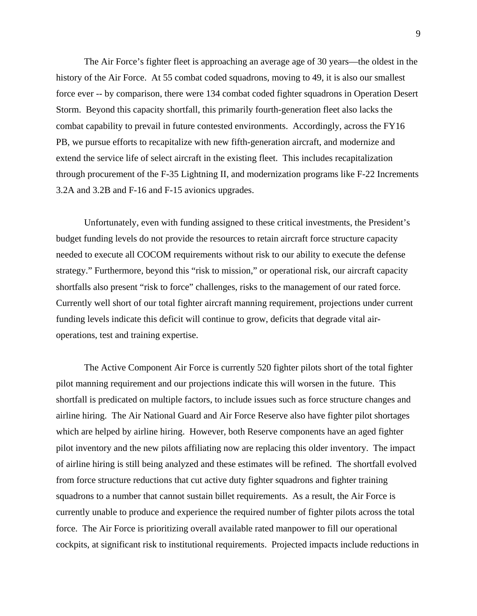The Air Force's fighter fleet is approaching an average age of 30 years—the oldest in the history of the Air Force. At 55 combat coded squadrons, moving to 49, it is also our smallest force ever -- by comparison, there were 134 combat coded fighter squadrons in Operation Desert Storm. Beyond this capacity shortfall, this primarily fourth-generation fleet also lacks the combat capability to prevail in future contested environments. Accordingly, across the FY16 PB, we pursue efforts to recapitalize with new fifth-generation aircraft, and modernize and extend the service life of select aircraft in the existing fleet. This includes recapitalization through procurement of the F-35 Lightning II, and modernization programs like F-22 Increments 3.2A and 3.2B and F-16 and F-15 avionics upgrades.

Unfortunately, even with funding assigned to these critical investments, the President's budget funding levels do not provide the resources to retain aircraft force structure capacity needed to execute all COCOM requirements without risk to our ability to execute the defense strategy." Furthermore, beyond this "risk to mission," or operational risk, our aircraft capacity shortfalls also present "risk to force" challenges, risks to the management of our rated force. Currently well short of our total fighter aircraft manning requirement, projections under current funding levels indicate this deficit will continue to grow, deficits that degrade vital airoperations, test and training expertise.

The Active Component Air Force is currently 520 fighter pilots short of the total fighter pilot manning requirement and our projections indicate this will worsen in the future. This shortfall is predicated on multiple factors, to include issues such as force structure changes and airline hiring. The Air National Guard and Air Force Reserve also have fighter pilot shortages which are helped by airline hiring. However, both Reserve components have an aged fighter pilot inventory and the new pilots affiliating now are replacing this older inventory. The impact of airline hiring is still being analyzed and these estimates will be refined. The shortfall evolved from force structure reductions that cut active duty fighter squadrons and fighter training squadrons to a number that cannot sustain billet requirements. As a result, the Air Force is currently unable to produce and experience the required number of fighter pilots across the total force. The Air Force is prioritizing overall available rated manpower to fill our operational cockpits, at significant risk to institutional requirements. Projected impacts include reductions in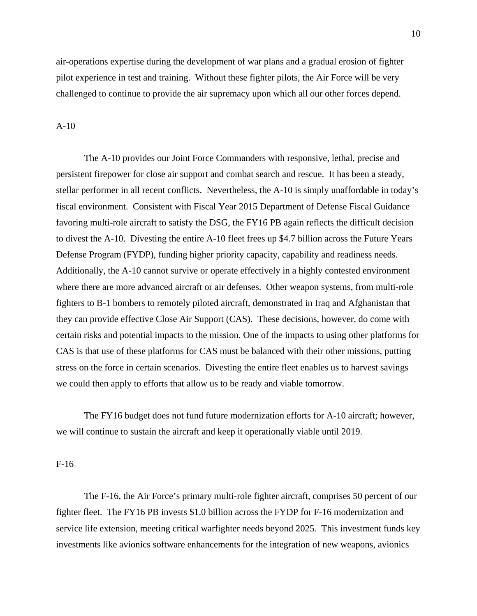air-operations expertise during the development of war plans and a gradual erosion of fighter pilot experience in test and training. Without these fighter pilots, the Air Force will be very challenged to continue to provide the air supremacy upon which all our other forces depend.

### A-10

The A-10 provides our Joint Force Commanders with responsive, lethal, precise and persistent firepower for close air support and combat search and rescue. It has been a steady, stellar performer in all recent conflicts. Nevertheless, the A-10 is simply unaffordable in today's fiscal environment. Consistent with Fiscal Year 2015 Department of Defense Fiscal Guidance favoring multi-role aircraft to satisfy the DSG, the FY16 PB again reflects the difficult decision to divest the A-10. Divesting the entire A-10 fleet frees up \$4.7 billion across the Future Years Defense Program (FYDP), funding higher priority capacity, capability and readiness needs. Additionally, the A-10 cannot survive or operate effectively in a highly contested environment where there are more advanced aircraft or air defenses. Other weapon systems, from multi-role fighters to B-1 bombers to remotely piloted aircraft, demonstrated in Iraq and Afghanistan that they can provide effective Close Air Support (CAS). These decisions, however, do come with certain risks and potential impacts to the mission. One of the impacts to using other platforms for CAS is that use of these platforms for CAS must be balanced with their other missions, putting stress on the force in certain scenarios. Divesting the entire fleet enables us to harvest savings we could then apply to efforts that allow us to be ready and viable tomorrow.

The FY16 budget does not fund future modernization efforts for A-10 aircraft; however, we will continue to sustain the aircraft and keep it operationally viable until 2019.

#### F-16

The F-16, the Air Force's primary multi-role fighter aircraft, comprises 50 percent of our fighter fleet. The FY16 PB invests \$1.0 billion across the FYDP for F-16 modernization and service life extension, meeting critical warfighter needs beyond 2025. This investment funds key investments like avionics software enhancements for the integration of new weapons, avionics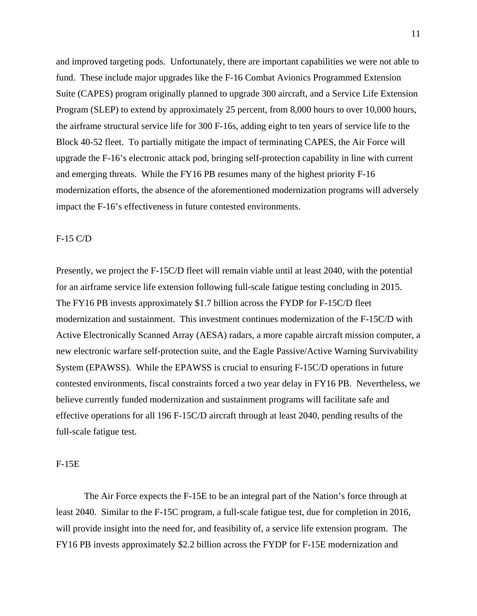and improved targeting pods. Unfortunately, there are important capabilities we were not able to fund. These include major upgrades like the F-16 Combat Avionics Programmed Extension Suite (CAPES) program originally planned to upgrade 300 aircraft, and a Service Life Extension Program (SLEP) to extend by approximately 25 percent, from 8,000 hours to over 10,000 hours, the airframe structural service life for 300 F-16s, adding eight to ten years of service life to the Block 40-52 fleet. To partially mitigate the impact of terminating CAPES, the Air Force will upgrade the F-16's electronic attack pod, bringing self-protection capability in line with current and emerging threats. While the FY16 PB resumes many of the highest priority F-16 modernization efforts, the absence of the aforementioned modernization programs will adversely impact the F-16's effectiveness in future contested environments.

# F-15 C/D

Presently, we project the F-15C/D fleet will remain viable until at least 2040, with the potential for an airframe service life extension following full-scale fatigue testing concluding in 2015. The FY16 PB invests approximately \$1.7 billion across the FYDP for F-15C/D fleet modernization and sustainment. This investment continues modernization of the F-15C/D with Active Electronically Scanned Array (AESA) radars, a more capable aircraft mission computer, a new electronic warfare self-protection suite, and the Eagle Passive/Active Warning Survivability System (EPAWSS). While the EPAWSS is crucial to ensuring F-15C/D operations in future contested environments, fiscal constraints forced a two year delay in FY16 PB. Nevertheless, we believe currently funded modernization and sustainment programs will facilitate safe and effective operations for all 196 F-15C/D aircraft through at least 2040, pending results of the full-scale fatigue test.

### F-15E

The Air Force expects the F-15E to be an integral part of the Nation's force through at least 2040. Similar to the F-15C program, a full-scale fatigue test, due for completion in 2016, will provide insight into the need for, and feasibility of, a service life extension program. The FY16 PB invests approximately \$2.2 billion across the FYDP for F-15E modernization and

11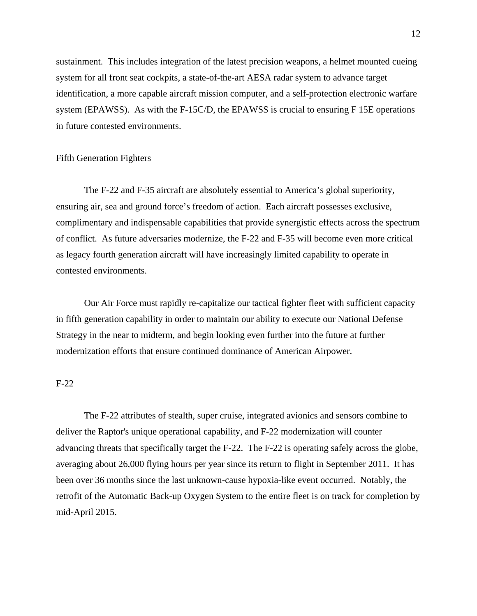sustainment. This includes integration of the latest precision weapons, a helmet mounted cueing system for all front seat cockpits, a state-of-the-art AESA radar system to advance target identification, a more capable aircraft mission computer, and a self-protection electronic warfare system (EPAWSS). As with the F-15C/D, the EPAWSS is crucial to ensuring F 15E operations in future contested environments.

# Fifth Generation Fighters

The F-22 and F-35 aircraft are absolutely essential to America's global superiority, ensuring air, sea and ground force's freedom of action. Each aircraft possesses exclusive, complimentary and indispensable capabilities that provide synergistic effects across the spectrum of conflict. As future adversaries modernize, the F-22 and F-35 will become even more critical as legacy fourth generation aircraft will have increasingly limited capability to operate in contested environments.

Our Air Force must rapidly re-capitalize our tactical fighter fleet with sufficient capacity in fifth generation capability in order to maintain our ability to execute our National Defense Strategy in the near to midterm, and begin looking even further into the future at further modernization efforts that ensure continued dominance of American Airpower.

### F-22

The F-22 attributes of stealth, super cruise, integrated avionics and sensors combine to deliver the Raptor's unique operational capability, and F-22 modernization will counter advancing threats that specifically target the F-22. The F-22 is operating safely across the globe, averaging about 26,000 flying hours per year since its return to flight in September 2011. It has been over 36 months since the last unknown-cause hypoxia-like event occurred. Notably, the retrofit of the Automatic Back-up Oxygen System to the entire fleet is on track for completion by mid-April 2015.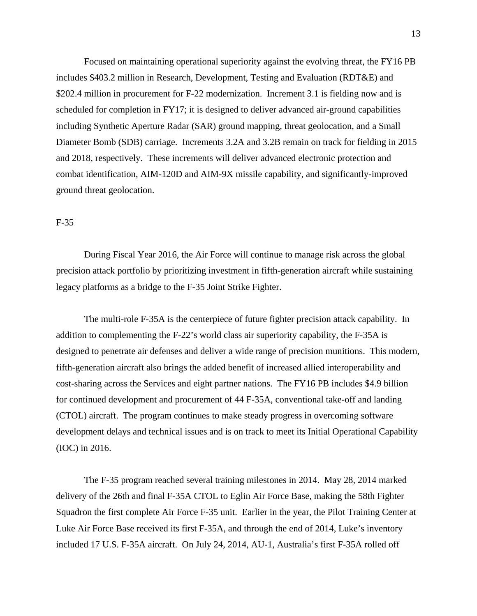Focused on maintaining operational superiority against the evolving threat, the FY16 PB includes \$403.2 million in Research, Development, Testing and Evaluation (RDT&E) and \$202.4 million in procurement for F-22 modernization. Increment 3.1 is fielding now and is scheduled for completion in FY17; it is designed to deliver advanced air-ground capabilities including Synthetic Aperture Radar (SAR) ground mapping, threat geolocation, and a Small Diameter Bomb (SDB) carriage. Increments 3.2A and 3.2B remain on track for fielding in 2015 and 2018, respectively. These increments will deliver advanced electronic protection and combat identification, AIM-120D and AIM-9X missile capability, and significantly-improved ground threat geolocation.

### F-35

During Fiscal Year 2016, the Air Force will continue to manage risk across the global precision attack portfolio by prioritizing investment in fifth-generation aircraft while sustaining legacy platforms as a bridge to the F-35 Joint Strike Fighter.

The multi-role F-35A is the centerpiece of future fighter precision attack capability. In addition to complementing the F-22's world class air superiority capability, the F-35A is designed to penetrate air defenses and deliver a wide range of precision munitions. This modern, fifth-generation aircraft also brings the added benefit of increased allied interoperability and cost-sharing across the Services and eight partner nations. The FY16 PB includes \$4.9 billion for continued development and procurement of 44 F-35A, conventional take-off and landing (CTOL) aircraft. The program continues to make steady progress in overcoming software development delays and technical issues and is on track to meet its Initial Operational Capability (IOC) in 2016.

The F-35 program reached several training milestones in 2014. May 28, 2014 marked delivery of the 26th and final F-35A CTOL to Eglin Air Force Base, making the 58th Fighter Squadron the first complete Air Force F-35 unit. Earlier in the year, the Pilot Training Center at Luke Air Force Base received its first F-35A, and through the end of 2014, Luke's inventory included 17 U.S. F-35A aircraft. On July 24, 2014, AU-1, Australia's first F-35A rolled off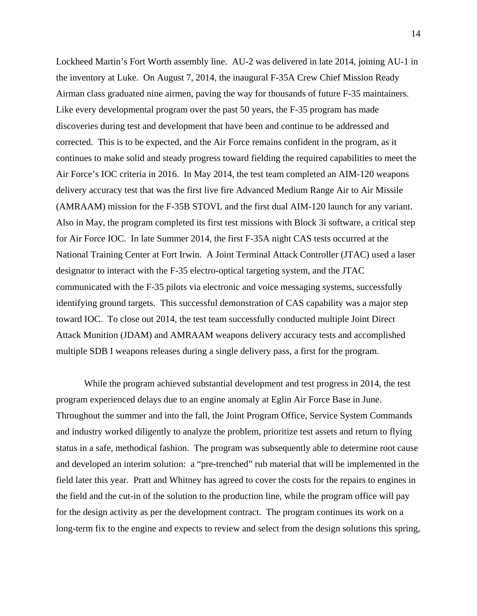Lockheed Martin's Fort Worth assembly line. AU-2 was delivered in late 2014, joining AU-1 in the inventory at Luke. On August 7, 2014, the inaugural F-35A Crew Chief Mission Ready Airman class graduated nine airmen, paving the way for thousands of future F-35 maintainers. Like every developmental program over the past 50 years, the F-35 program has made discoveries during test and development that have been and continue to be addressed and corrected. This is to be expected, and the Air Force remains confident in the program, as it continues to make solid and steady progress toward fielding the required capabilities to meet the Air Force's IOC criteria in 2016. In May 2014, the test team completed an AIM-120 weapons delivery accuracy test that was the first live fire Advanced Medium Range Air to Air Missile (AMRAAM) mission for the F-35B STOVL and the first dual AIM-120 launch for any variant. Also in May, the program completed its first test missions with Block 3i software, a critical step for Air Force IOC. In late Summer 2014, the first F-35A night CAS tests occurred at the National Training Center at Fort Irwin. A Joint Terminal Attack Controller (JTAC) used a laser designator to interact with the F-35 electro-optical targeting system, and the JTAC communicated with the F-35 pilots via electronic and voice messaging systems, successfully identifying ground targets. This successful demonstration of CAS capability was a major step toward IOC. To close out 2014, the test team successfully conducted multiple Joint Direct Attack Munition (JDAM) and AMRAAM weapons delivery accuracy tests and accomplished multiple SDB I weapons releases during a single delivery pass, a first for the program.

While the program achieved substantial development and test progress in 2014, the test program experienced delays due to an engine anomaly at Eglin Air Force Base in June. Throughout the summer and into the fall, the Joint Program Office, Service System Commands and industry worked diligently to analyze the problem, prioritize test assets and return to flying status in a safe, methodical fashion. The program was subsequently able to determine root cause and developed an interim solution: a "pre-trenched" rub material that will be implemented in the field later this year. Pratt and Whitney has agreed to cover the costs for the repairs to engines in the field and the cut-in of the solution to the production line, while the program office will pay for the design activity as per the development contract. The program continues its work on a long-term fix to the engine and expects to review and select from the design solutions this spring,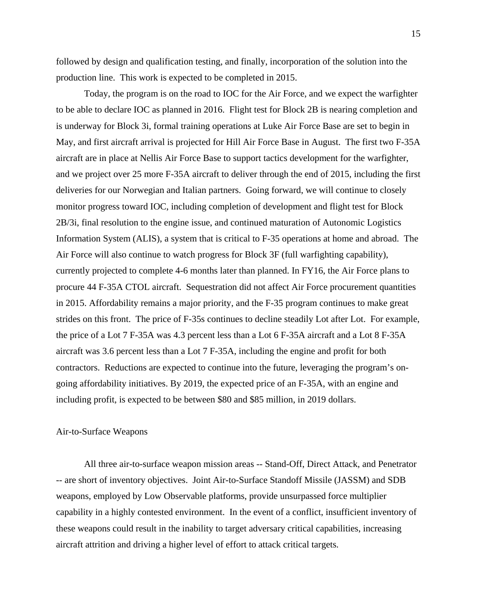followed by design and qualification testing, and finally, incorporation of the solution into the production line. This work is expected to be completed in 2015.

Today, the program is on the road to IOC for the Air Force, and we expect the warfighter to be able to declare IOC as planned in 2016. Flight test for Block 2B is nearing completion and is underway for Block 3i, formal training operations at Luke Air Force Base are set to begin in May, and first aircraft arrival is projected for Hill Air Force Base in August. The first two F-35A aircraft are in place at Nellis Air Force Base to support tactics development for the warfighter, and we project over 25 more F-35A aircraft to deliver through the end of 2015, including the first deliveries for our Norwegian and Italian partners. Going forward, we will continue to closely monitor progress toward IOC, including completion of development and flight test for Block 2B/3i, final resolution to the engine issue, and continued maturation of Autonomic Logistics Information System (ALIS), a system that is critical to F-35 operations at home and abroad. The Air Force will also continue to watch progress for Block 3F (full warfighting capability), currently projected to complete 4-6 months later than planned. In FY16, the Air Force plans to procure 44 F-35A CTOL aircraft. Sequestration did not affect Air Force procurement quantities in 2015. Affordability remains a major priority, and the F-35 program continues to make great strides on this front. The price of F-35s continues to decline steadily Lot after Lot. For example, the price of a Lot 7 F-35A was 4.3 percent less than a Lot 6 F-35A aircraft and a Lot 8 F-35A aircraft was 3.6 percent less than a Lot 7 F-35A, including the engine and profit for both contractors. Reductions are expected to continue into the future, leveraging the program's ongoing affordability initiatives. By 2019, the expected price of an F-35A, with an engine and including profit, is expected to be between \$80 and \$85 million, in 2019 dollars.

# Air-to-Surface Weapons

All three air-to-surface weapon mission areas -- Stand-Off, Direct Attack, and Penetrator -- are short of inventory objectives. Joint Air-to-Surface Standoff Missile (JASSM) and SDB weapons, employed by Low Observable platforms, provide unsurpassed force multiplier capability in a highly contested environment. In the event of a conflict, insufficient inventory of these weapons could result in the inability to target adversary critical capabilities, increasing aircraft attrition and driving a higher level of effort to attack critical targets.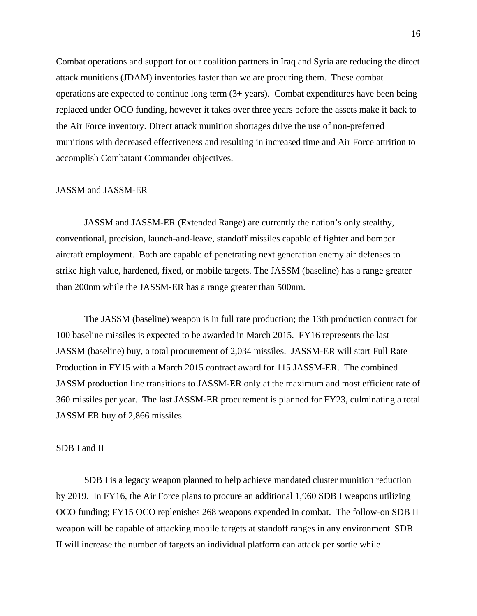Combat operations and support for our coalition partners in Iraq and Syria are reducing the direct attack munitions (JDAM) inventories faster than we are procuring them. These combat operations are expected to continue long term (3+ years). Combat expenditures have been being replaced under OCO funding, however it takes over three years before the assets make it back to the Air Force inventory. Direct attack munition shortages drive the use of non-preferred munitions with decreased effectiveness and resulting in increased time and Air Force attrition to accomplish Combatant Commander objectives.

#### JASSM and JASSM-ER

JASSM and JASSM-ER (Extended Range) are currently the nation's only stealthy, conventional, precision, launch-and-leave, standoff missiles capable of fighter and bomber aircraft employment. Both are capable of penetrating next generation enemy air defenses to strike high value, hardened, fixed, or mobile targets. The JASSM (baseline) has a range greater than 200nm while the JASSM-ER has a range greater than 500nm.

The JASSM (baseline) weapon is in full rate production; the 13th production contract for 100 baseline missiles is expected to be awarded in March 2015. FY16 represents the last JASSM (baseline) buy, a total procurement of 2,034 missiles. JASSM-ER will start Full Rate Production in FY15 with a March 2015 contract award for 115 JASSM-ER. The combined JASSM production line transitions to JASSM-ER only at the maximum and most efficient rate of 360 missiles per year. The last JASSM-ER procurement is planned for FY23, culminating a total JASSM ER buy of 2,866 missiles.

#### SDB I and II

SDB I is a legacy weapon planned to help achieve mandated cluster munition reduction by 2019. In FY16, the Air Force plans to procure an additional 1,960 SDB I weapons utilizing OCO funding; FY15 OCO replenishes 268 weapons expended in combat. The follow-on SDB II weapon will be capable of attacking mobile targets at standoff ranges in any environment. SDB II will increase the number of targets an individual platform can attack per sortie while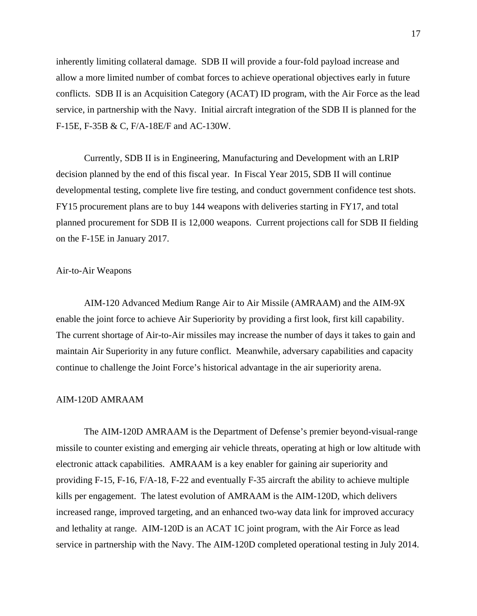inherently limiting collateral damage. SDB II will provide a four-fold payload increase and allow a more limited number of combat forces to achieve operational objectives early in future conflicts. SDB II is an Acquisition Category (ACAT) ID program, with the Air Force as the lead service, in partnership with the Navy. Initial aircraft integration of the SDB II is planned for the F-15E, F-35B & C, F/A-18E/F and AC-130W.

Currently, SDB II is in Engineering, Manufacturing and Development with an LRIP decision planned by the end of this fiscal year. In Fiscal Year 2015, SDB II will continue developmental testing, complete live fire testing, and conduct government confidence test shots. FY15 procurement plans are to buy 144 weapons with deliveries starting in FY17, and total planned procurement for SDB II is 12,000 weapons. Current projections call for SDB II fielding on the F-15E in January 2017.

# Air-to-Air Weapons

AIM-120 Advanced Medium Range Air to Air Missile (AMRAAM) and the AIM-9X enable the joint force to achieve Air Superiority by providing a first look, first kill capability. The current shortage of Air-to-Air missiles may increase the number of days it takes to gain and maintain Air Superiority in any future conflict. Meanwhile, adversary capabilities and capacity continue to challenge the Joint Force's historical advantage in the air superiority arena.

# AIM-120D AMRAAM

The AIM-120D AMRAAM is the Department of Defense's premier beyond-visual-range missile to counter existing and emerging air vehicle threats, operating at high or low altitude with electronic attack capabilities. AMRAAM is a key enabler for gaining air superiority and providing F-15, F-16, F/A-18, F-22 and eventually F-35 aircraft the ability to achieve multiple kills per engagement. The latest evolution of AMRAAM is the AIM-120D, which delivers increased range, improved targeting, and an enhanced two-way data link for improved accuracy and lethality at range. AIM-120D is an ACAT 1C joint program, with the Air Force as lead service in partnership with the Navy. The AIM-120D completed operational testing in July 2014.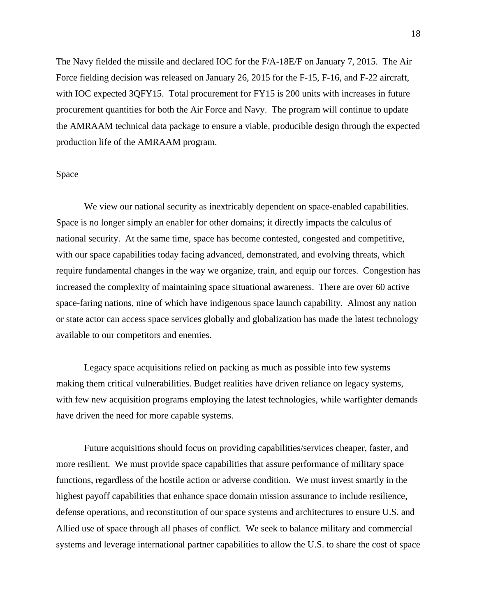The Navy fielded the missile and declared IOC for the F/A-18E/F on January 7, 2015. The Air Force fielding decision was released on January 26, 2015 for the F-15, F-16, and F-22 aircraft, with IOC expected 3QFY15. Total procurement for FY15 is 200 units with increases in future procurement quantities for both the Air Force and Navy. The program will continue to update the AMRAAM technical data package to ensure a viable, producible design through the expected production life of the AMRAAM program.

#### Space

We view our national security as inextricably dependent on space-enabled capabilities. Space is no longer simply an enabler for other domains; it directly impacts the calculus of national security. At the same time, space has become contested, congested and competitive, with our space capabilities today facing advanced, demonstrated, and evolving threats, which require fundamental changes in the way we organize, train, and equip our forces. Congestion has increased the complexity of maintaining space situational awareness. There are over 60 active space-faring nations, nine of which have indigenous space launch capability. Almost any nation or state actor can access space services globally and globalization has made the latest technology available to our competitors and enemies.

Legacy space acquisitions relied on packing as much as possible into few systems making them critical vulnerabilities. Budget realities have driven reliance on legacy systems, with few new acquisition programs employing the latest technologies, while warfighter demands have driven the need for more capable systems.

Future acquisitions should focus on providing capabilities/services cheaper, faster, and more resilient. We must provide space capabilities that assure performance of military space functions, regardless of the hostile action or adverse condition. We must invest smartly in the highest payoff capabilities that enhance space domain mission assurance to include resilience, defense operations, and reconstitution of our space systems and architectures to ensure U.S. and Allied use of space through all phases of conflict. We seek to balance military and commercial systems and leverage international partner capabilities to allow the U.S. to share the cost of space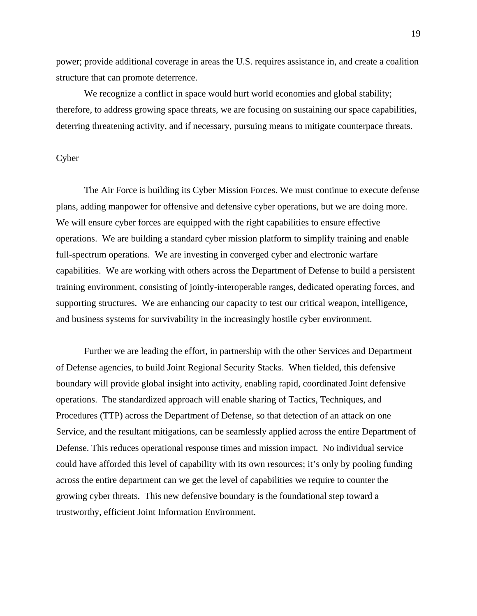power; provide additional coverage in areas the U.S. requires assistance in, and create a coalition structure that can promote deterrence.

We recognize a conflict in space would hurt world economies and global stability; therefore, to address growing space threats, we are focusing on sustaining our space capabilities, deterring threatening activity, and if necessary, pursuing means to mitigate counterpace threats.

# **Cyber**

The Air Force is building its Cyber Mission Forces. We must continue to execute defense plans, adding manpower for offensive and defensive cyber operations, but we are doing more. We will ensure cyber forces are equipped with the right capabilities to ensure effective operations. We are building a standard cyber mission platform to simplify training and enable full-spectrum operations. We are investing in converged cyber and electronic warfare capabilities. We are working with others across the Department of Defense to build a persistent training environment, consisting of jointly-interoperable ranges, dedicated operating forces, and supporting structures. We are enhancing our capacity to test our critical weapon, intelligence, and business systems for survivability in the increasingly hostile cyber environment.

Further we are leading the effort, in partnership with the other Services and Department of Defense agencies, to build Joint Regional Security Stacks. When fielded, this defensive boundary will provide global insight into activity, enabling rapid, coordinated Joint defensive operations. The standardized approach will enable sharing of Tactics, Techniques, and Procedures (TTP) across the Department of Defense, so that detection of an attack on one Service, and the resultant mitigations, can be seamlessly applied across the entire Department of Defense. This reduces operational response times and mission impact. No individual service could have afforded this level of capability with its own resources; it's only by pooling funding across the entire department can we get the level of capabilities we require to counter the growing cyber threats. This new defensive boundary is the foundational step toward a trustworthy, efficient Joint Information Environment.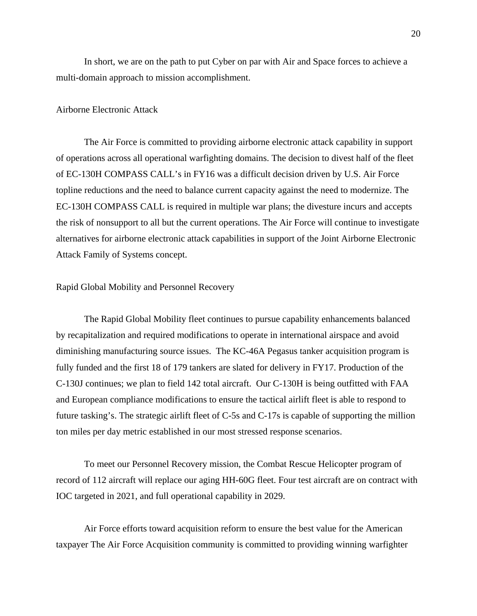In short, we are on the path to put Cyber on par with Air and Space forces to achieve a multi-domain approach to mission accomplishment.

### Airborne Electronic Attack

The Air Force is committed to providing airborne electronic attack capability in support of operations across all operational warfighting domains. The decision to divest half of the fleet of EC-130H COMPASS CALL's in FY16 was a difficult decision driven by U.S. Air Force topline reductions and the need to balance current capacity against the need to modernize. The EC-130H COMPASS CALL is required in multiple war plans; the divesture incurs and accepts the risk of nonsupport to all but the current operations. The Air Force will continue to investigate alternatives for airborne electronic attack capabilities in support of the Joint Airborne Electronic Attack Family of Systems concept.

### Rapid Global Mobility and Personnel Recovery

The Rapid Global Mobility fleet continues to pursue capability enhancements balanced by recapitalization and required modifications to operate in international airspace and avoid diminishing manufacturing source issues. The KC-46A Pegasus tanker acquisition program is fully funded and the first 18 of 179 tankers are slated for delivery in FY17. Production of the C-130J continues; we plan to field 142 total aircraft. Our C-130H is being outfitted with FAA and European compliance modifications to ensure the tactical airlift fleet is able to respond to future tasking's. The strategic airlift fleet of C-5s and C-17s is capable of supporting the million ton miles per day metric established in our most stressed response scenarios.

To meet our Personnel Recovery mission, the Combat Rescue Helicopter program of record of 112 aircraft will replace our aging HH-60G fleet. Four test aircraft are on contract with IOC targeted in 2021, and full operational capability in 2029.

Air Force efforts toward acquisition reform to ensure the best value for the American taxpayer The Air Force Acquisition community is committed to providing winning warfighter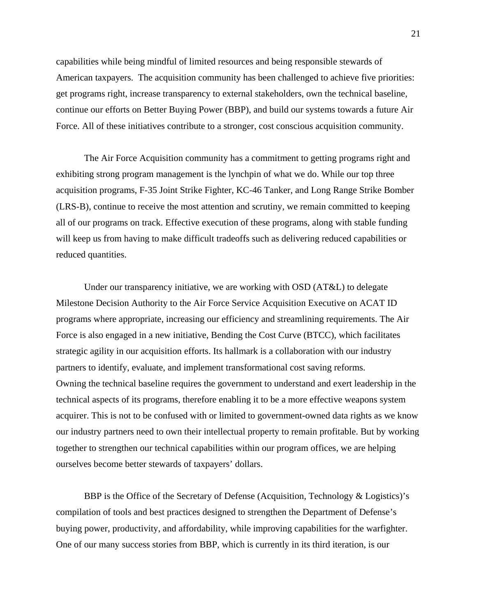capabilities while being mindful of limited resources and being responsible stewards of American taxpayers. The acquisition community has been challenged to achieve five priorities: get programs right, increase transparency to external stakeholders, own the technical baseline, continue our efforts on Better Buying Power (BBP), and build our systems towards a future Air Force. All of these initiatives contribute to a stronger, cost conscious acquisition community.

The Air Force Acquisition community has a commitment to getting programs right and exhibiting strong program management is the lynchpin of what we do. While our top three acquisition programs, F-35 Joint Strike Fighter, KC-46 Tanker, and Long Range Strike Bomber (LRS-B), continue to receive the most attention and scrutiny, we remain committed to keeping all of our programs on track. Effective execution of these programs, along with stable funding will keep us from having to make difficult tradeoffs such as delivering reduced capabilities or reduced quantities.

Under our transparency initiative, we are working with OSD (AT&L) to delegate Milestone Decision Authority to the Air Force Service Acquisition Executive on ACAT ID programs where appropriate, increasing our efficiency and streamlining requirements. The Air Force is also engaged in a new initiative, Bending the Cost Curve (BTCC), which facilitates strategic agility in our acquisition efforts. Its hallmark is a collaboration with our industry partners to identify, evaluate, and implement transformational cost saving reforms. Owning the technical baseline requires the government to understand and exert leadership in the technical aspects of its programs, therefore enabling it to be a more effective weapons system acquirer. This is not to be confused with or limited to government-owned data rights as we know our industry partners need to own their intellectual property to remain profitable. But by working together to strengthen our technical capabilities within our program offices, we are helping ourselves become better stewards of taxpayers' dollars.

BBP is the Office of the Secretary of Defense (Acquisition, Technology & Logistics)'s compilation of tools and best practices designed to strengthen the Department of Defense's buying power, productivity, and affordability, while improving capabilities for the warfighter. One of our many success stories from BBP, which is currently in its third iteration, is our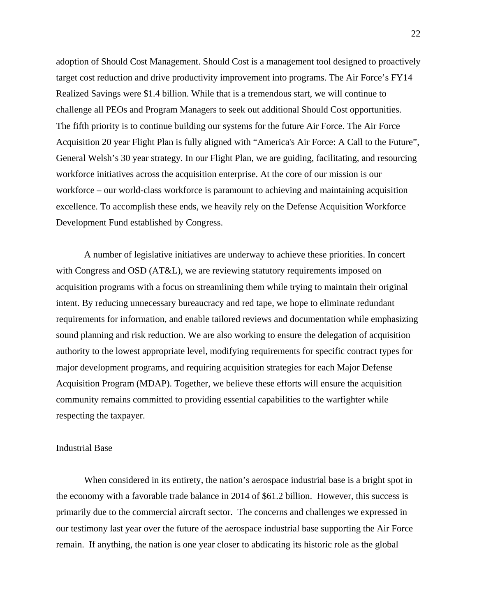adoption of Should Cost Management. Should Cost is a management tool designed to proactively target cost reduction and drive productivity improvement into programs. The Air Force's FY14 Realized Savings were \$1.4 billion. While that is a tremendous start, we will continue to challenge all PEOs and Program Managers to seek out additional Should Cost opportunities. The fifth priority is to continue building our systems for the future Air Force. The Air Force Acquisition 20 year Flight Plan is fully aligned with "America's Air Force: A Call to the Future", General Welsh's 30 year strategy. In our Flight Plan, we are guiding, facilitating, and resourcing workforce initiatives across the acquisition enterprise. At the core of our mission is our workforce – our world-class workforce is paramount to achieving and maintaining acquisition excellence. To accomplish these ends, we heavily rely on the Defense Acquisition Workforce Development Fund established by Congress.

A number of legislative initiatives are underway to achieve these priorities. In concert with Congress and OSD (AT&L), we are reviewing statutory requirements imposed on acquisition programs with a focus on streamlining them while trying to maintain their original intent. By reducing unnecessary bureaucracy and red tape, we hope to eliminate redundant requirements for information, and enable tailored reviews and documentation while emphasizing sound planning and risk reduction. We are also working to ensure the delegation of acquisition authority to the lowest appropriate level, modifying requirements for specific contract types for major development programs, and requiring acquisition strategies for each Major Defense Acquisition Program (MDAP). Together, we believe these efforts will ensure the acquisition community remains committed to providing essential capabilities to the warfighter while respecting the taxpayer.

#### Industrial Base

When considered in its entirety, the nation's aerospace industrial base is a bright spot in the economy with a favorable trade balance in 2014 of \$61.2 billion. However, this success is primarily due to the commercial aircraft sector. The concerns and challenges we expressed in our testimony last year over the future of the aerospace industrial base supporting the Air Force remain. If anything, the nation is one year closer to abdicating its historic role as the global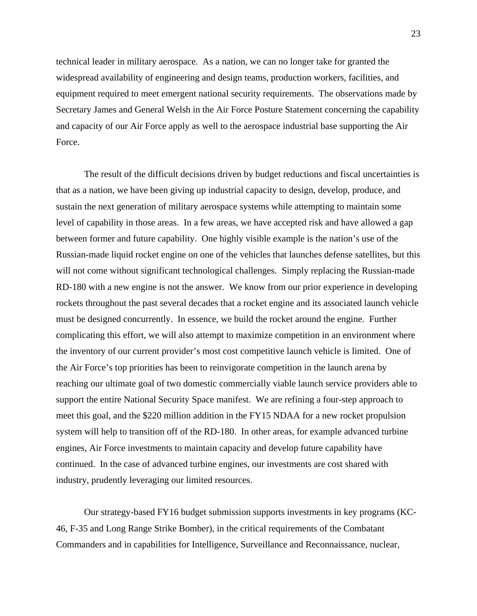technical leader in military aerospace. As a nation, we can no longer take for granted the widespread availability of engineering and design teams, production workers, facilities, and equipment required to meet emergent national security requirements. The observations made by Secretary James and General Welsh in the Air Force Posture Statement concerning the capability and capacity of our Air Force apply as well to the aerospace industrial base supporting the Air Force.

The result of the difficult decisions driven by budget reductions and fiscal uncertainties is that as a nation, we have been giving up industrial capacity to design, develop, produce, and sustain the next generation of military aerospace systems while attempting to maintain some level of capability in those areas. In a few areas, we have accepted risk and have allowed a gap between former and future capability. One highly visible example is the nation's use of the Russian-made liquid rocket engine on one of the vehicles that launches defense satellites, but this will not come without significant technological challenges. Simply replacing the Russian-made RD-180 with a new engine is not the answer. We know from our prior experience in developing rockets throughout the past several decades that a rocket engine and its associated launch vehicle must be designed concurrently. In essence, we build the rocket around the engine. Further complicating this effort, we will also attempt to maximize competition in an environment where the inventory of our current provider's most cost competitive launch vehicle is limited. One of the Air Force's top priorities has been to reinvigorate competition in the launch arena by reaching our ultimate goal of two domestic commercially viable launch service providers able to support the entire National Security Space manifest. We are refining a four-step approach to meet this goal, and the \$220 million addition in the FY15 NDAA for a new rocket propulsion system will help to transition off of the RD-180. In other areas, for example advanced turbine engines, Air Force investments to maintain capacity and develop future capability have continued. In the case of advanced turbine engines, our investments are cost shared with industry, prudently leveraging our limited resources.

 Our strategy-based FY16 budget submission supports investments in key programs (KC-46, F-35 and Long Range Strike Bomber), in the critical requirements of the Combatant Commanders and in capabilities for Intelligence, Surveillance and Reconnaissance, nuclear,